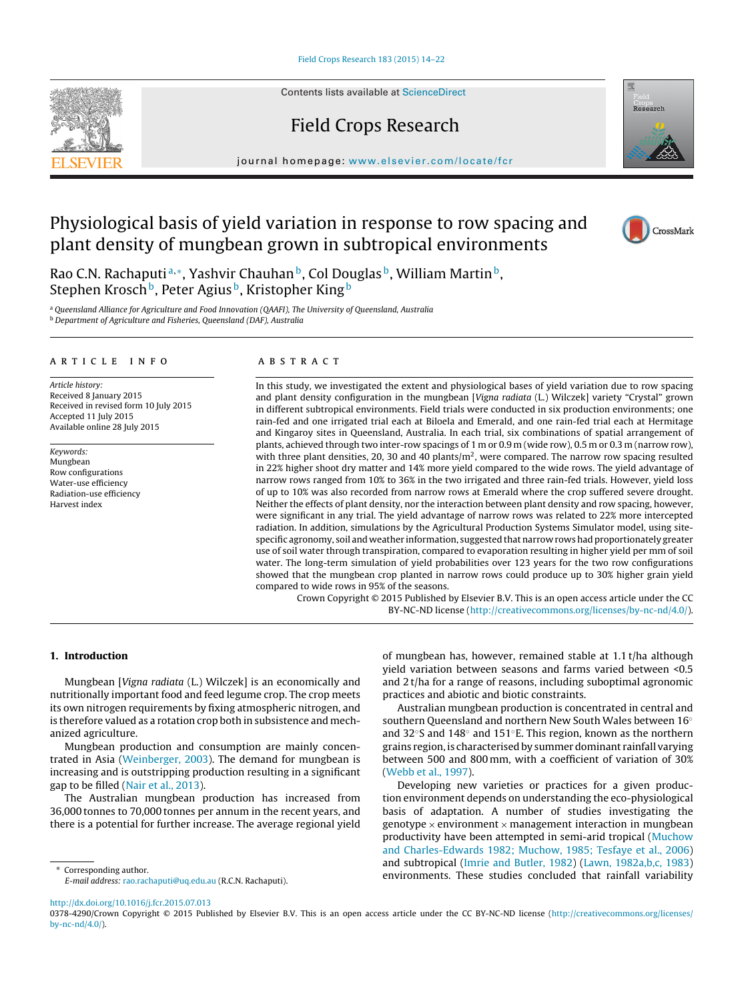Contents lists available at [ScienceDirect](http://www.sciencedirect.com/science/journal/03784290)

# Field Crops Research

journal homepage: [www.elsevier.com/locate/fcr](http://www.elsevier.com/locate/fcr)

# Physiological basis of yield variation in response to row spacing and plant density of mungbean grown in subtropical environments

Rao C.N. Rachaputi<sup>a,∗</sup>, Yashvir Chauhan<sup>b</sup>, Col Douglas<sup>b</sup>, William Martin<sup>b</sup>, Stephen Krosch<sup>b</sup>, Peter Agius<sup>b</sup>, Kristopher King<sup>b</sup>

a Queensland Alliance for Agriculture and Food Innovation (QAAFI), The University of Queensland, Australia <sup>b</sup> Department of Agriculture and Fisheries, Queensland (DAF), Australia

#### a r t i c l e i n f o

Article history: Received 8 January 2015 Received in revised form 10 July 2015 Accepted 11 July 2015 Available online 28 July 2015

Keywords: Mungbean Row configurations Water-use efficiency Radiation-use efficiency Harvest index

### A B S T R A C T

In this study, we investigated the extent and physiological bases of yield variation due to row spacing and plant density configuration in the mungbean [Vigna radiata (L.) Wilczek] variety "Crystal" grown in different subtropical environments. Field trials were conducted in six production environments; one rain-fed and one irrigated trial each at Biloela and Emerald, and one rain-fed trial each at Hermitage and Kingaroy sites in Queensland, Australia. In each trial, six combinations of spatial arrangement of plants, achieved through two inter-row spacings of 1 m or 0.9 m (wide row), 0.5 m or 0.3 m (narrow row), with three plant densities, 20, 30 and 40 plants/ $m<sup>2</sup>$ , were compared. The narrow row spacing resulted in 22% higher shoot dry matter and 14% more yield compared to the wide rows. The yield advantage of narrow rows ranged from 10% to 36% in the two irrigated and three rain-fed trials. However, yield loss of up to 10% was also recorded from narrow rows at Emerald where the crop suffered severe drought. Neither the effects of plant density, nor the interaction between plant density and row spacing, however, were significant in any trial. The yield advantage of narrow rows was related to 22% more intercepted radiation. In addition, simulations by the Agricultural Production Systems Simulator model, using sitespecific agronomy, soil and weather information, suggested that narrow rows had proportionately greater use of soil water through transpiration, compared to evaporation resulting in higher yield per mm of soil water. The long-term simulation of yield probabilities over 123 years for the two row configurations showed that the mungbean crop planted in narrow rows could produce up to 30% higher grain yield compared to wide rows in 95% of the seasons.

Crown Copyright © 2015 Published by Elsevier B.V. This is an open access article under the CC BY-NC-ND license [\(http://creativecommons.org/licenses/by-nc-nd/4.0/](http://creativecommons.org/licenses/by-nc-nd/4.0/)).

## **1. Introduction**

Mungbean [Vigna radiata (L.) Wilczek] is an economically and nutritionally important food and feed legume crop. The crop meets its own nitrogen requirements by fixing atmospheric nitrogen, and is therefore valued as a rotation crop both in subsistence and mechanized agriculture.

Mungbean production and consumption are mainly concentrated in Asia ([Weinberger,](#page-8-0) [2003\).](#page-8-0) The demand for mungbean is increasing and is outstripping production resulting in a significant gap to be filled [\(Nair](#page-8-0) et [al.,](#page-8-0) [2013\).](#page-8-0)

The Australian mungbean production has increased from 36,000 tonnes to 70,000 tonnes per annum in the recent years, and there is a potential for further increase. The average regional yield

∗ Corresponding author. E-mail address: [rao.rachaputi@uq.edu.au](mailto:rao.rachaputi@uq.edu.au) (R.C.N. Rachaputi).

of mungbean has, however, remained stable at 1.1 t/ha although yield variation between seasons and farms varied between <0.5 and 2 t/ha for a range of reasons, including suboptimal agronomic practices and abiotic and biotic constraints.

Australian mungbean production is concentrated in central and southern Queensland and northern New South Wales between 16◦ and 32◦S and 148◦ and 151◦E. This region, known as the northern grains region, is characterised by summer dominant rainfall varying between 500 and 800 mm, with a coefficient of variation of 30% [\(Webb](#page-8-0) et [al.,](#page-8-0) [1997\).](#page-8-0)

Developing new varieties or practices for a given production environment depends on understanding the eco-physiological basis of adaptation. A number of studies investigating the genotype  $\times$  environment  $\times$  management interaction in mungbean productivity have been attempted in semi-arid tropical [\(Muchow](#page-8-0) [and](#page-8-0) [Charles-Edwards](#page-8-0) [1982;](#page-8-0) [Muchow,](#page-8-0) [1985;](#page-8-0) [Tesfaye](#page-8-0) et [al.,](#page-8-0) [2006\)](#page-8-0) and subtropical [\(Imrie](#page-8-0) [and](#page-8-0) [Butler,](#page-8-0) [1982\)](#page-8-0) [\(Lawn,](#page-8-0) [1982a,b,c,](#page-8-0) [1983\)](#page-8-0) environments. These studies concluded that rainfall variability

[http://dx.doi.org/10.1016/j.fcr.2015.07.013](dx.doi.org/10.1016/j.fcr.2015.07.013)







<sup>0378-4290/</sup>Crown Copyright © 2015 Published by Elsevier B.V. This is an open access article under the CC BY-NC-ND license [\(http://creativecommons.org/licenses/](http://creativecommons.org/licenses/by-nc-nd/4.0/) [by-nc-nd/4.0/\)](http://creativecommons.org/licenses/by-nc-nd/4.0/).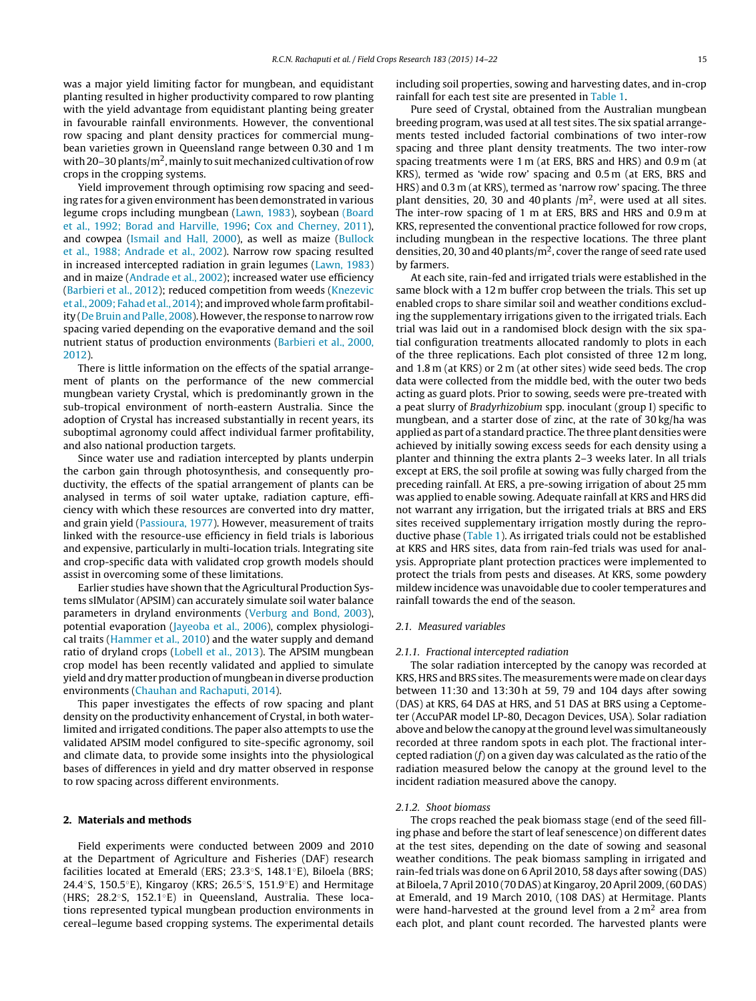was a major yield limiting factor for mungbean, and equidistant planting resulted in higher productivity compared to row planting with the yield advantage from equidistant planting being greater in favourable rainfall environments. However, the conventional row spacing and plant density practices for commercial mungbean varieties grown in Queensland range between 0.30 and 1 m with 20–30 plants/ $m^2$ , mainly to suit mechanized cultivation of row crops in the cropping systems.

Yield improvement through optimising row spacing and seeding rates for a given environment has been demonstrated in various legume crops including mungbean [\(Lawn,](#page-8-0) [1983\),](#page-8-0) soybean [\(Board](#page-8-0) et [al.,](#page-8-0) [1992;](#page-8-0) [Borad](#page-8-0) [and](#page-8-0) [Harville,](#page-8-0) [1996;](#page-8-0) [Cox](#page-8-0) [and](#page-8-0) [Cherney,](#page-8-0) [2011\),](#page-8-0) and cowpea [\(Ismail](#page-8-0) [and](#page-8-0) [Hall,](#page-8-0) [2000\),](#page-8-0) as well as maize [\(Bullock](#page-8-0) et [al.,](#page-8-0) [1988;](#page-8-0) [Andrade](#page-8-0) et [al.,](#page-8-0) [2002\).](#page-8-0) Narrow row spacing resulted in increased intercepted radiation in grain legumes ([Lawn,](#page-8-0) [1983\)](#page-8-0) and in maize [\(Andrade](#page-7-0) et [al.,](#page-7-0) [2002\);](#page-7-0) increased water use efficiency ([Barbieri](#page-8-0) et [al.,](#page-8-0) [2012\);](#page-8-0) reduced competition from weeds [\(Knezevic](#page-8-0) et [al.,](#page-8-0) [2009;](#page-8-0) [Fahade](#page-8-0)t [al.,](#page-8-0) [2014\);](#page-8-0) andimproved whole farmprofitabil-ity [\(De](#page-8-0) [Bruin](#page-8-0) [and](#page-8-0) [Palle,](#page-8-0) [2008\).](#page-8-0) However, the response to narrow row spacing varied depending on the evaporative demand and the soil nutrient status of production environments ([Barbieri](#page-8-0) et [al.,](#page-8-0) [2000,](#page-8-0) [2012\).](#page-8-0)

There is little information on the effects of the spatial arrangement of plants on the performance of the new commercial mungbean variety Crystal, which is predominantly grown in the sub-tropical environment of north-eastern Australia. Since the adoption of Crystal has increased substantially in recent years, its suboptimal agronomy could affect individual farmer profitability, and also national production targets.

Since water use and radiation intercepted by plants underpin the carbon gain through photosynthesis, and consequently productivity, the effects of the spatial arrangement of plants can be analysed in terms of soil water uptake, radiation capture, efficiency with which these resources are converted into dry matter, and grain yield ([Passioura,](#page-8-0) [1977\).](#page-8-0) However, measurement of traits linked with the resource-use efficiency in field trials is laborious and expensive, particularly in multi-location trials. Integrating site and crop-specific data with validated crop growth models should assist in overcoming some of these limitations.

Earlier studies have shown that the Agricultural Production Systems sIMulator (APSIM) can accurately simulate soil water balance parameters in dryland environments [\(Verburg](#page-8-0) [and](#page-8-0) [Bond,](#page-8-0) [2003\),](#page-8-0) potential evaporation ([Jayeoba](#page-8-0) et [al.,](#page-8-0) [2006\),](#page-8-0) complex physiological traits ([Hammer](#page-8-0) et [al.,](#page-8-0) [2010\)](#page-8-0) and the water supply and demand ratio of dryland crops ([Lobell](#page-8-0) et [al.,](#page-8-0) [2013\).](#page-8-0) The APSIM mungbean crop model has been recently validated and applied to simulate yield and dry matter production of mungbean in diverse production environments [\(Chauhan](#page-8-0) [and](#page-8-0) [Rachaputi,](#page-8-0) [2014\).](#page-8-0)

This paper investigates the effects of row spacing and plant density on the productivity enhancement of Crystal, in both waterlimited and irrigated conditions. The paper also attempts to use the validated APSIM model configured to site-specific agronomy, soil and climate data, to provide some insights into the physiological bases of differences in yield and dry matter observed in response to row spacing across different environments.

#### **2. Materials and methods**

Field experiments were conducted between 2009 and 2010 at the Department of Agriculture and Fisheries (DAF) research facilities located at Emerald (ERS; 23.3◦S, 148.1◦E), Biloela (BRS; 24.4◦S, 150.5◦E), Kingaroy (KRS; 26.5◦S, 151.9◦E) and Hermitage (HRS; 28.2◦S, 152.1◦E) in Queensland, Australia. These locations represented typical mungbean production environments in cereal–legume based cropping systems. The experimental details including soil properties, sowing and harvesting dates, and in-crop rainfall for each test site are presented in [Table](#page-2-0) 1.

Pure seed of Crystal, obtained from the Australian mungbean breeding program, was used at all test sites. The six spatial arrangements tested included factorial combinations of two inter-row spacing and three plant density treatments. The two inter-row spacing treatments were 1 m (at ERS, BRS and HRS) and 0.9 m (at KRS), termed as 'wide row' spacing and 0.5 m (at ERS, BRS and HRS) and 0.3 m (at KRS), termed as 'narrow row' spacing. The three plant densities, 20, 30 and 40 plants  $/m<sup>2</sup>$ , were used at all sites. The inter-row spacing of 1 m at ERS, BRS and HRS and 0.9 m at KRS, represented the conventional practice followed for row crops, including mungbean in the respective locations. The three plant densities, 20, 30 and 40 plants/ $m<sup>2</sup>$ , cover the range of seed rate used by farmers.

At each site, rain-fed and irrigated trials were established in the same block with a 12 m buffer crop between the trials. This set up enabled crops to share similar soil and weather conditions excluding the supplementary irrigations given to the irrigated trials. Each trial was laid out in a randomised block design with the six spatial configuration treatments allocated randomly to plots in each of the three replications. Each plot consisted of three 12 m long, and 1.8 m (at KRS) or 2 m (at other sites) wide seed beds. The crop data were collected from the middle bed, with the outer two beds acting as guard plots. Prior to sowing, seeds were pre-treated with a peat slurry of Bradyrhizobium spp. inoculant (group I) specific to mungbean, and a starter dose of zinc, at the rate of 30 kg/ha was applied as part of a standard practice. The three plant densities were achieved by initially sowing excess seeds for each density using a planter and thinning the extra plants 2–3 weeks later. In all trials except at ERS, the soil profile at sowing was fully charged from the preceding rainfall. At ERS, a pre-sowing irrigation of about 25 mm was applied to enable sowing. Adequate rainfall at KRS and HRS did not warrant any irrigation, but the irrigated trials at BRS and ERS sites received supplementary irrigation mostly during the reproductive phase ([Table](#page-2-0) 1). As irrigated trials could not be established at KRS and HRS sites, data from rain-fed trials was used for analysis. Appropriate plant protection practices were implemented to protect the trials from pests and diseases. At KRS, some powdery mildew incidence was unavoidable due to cooler temperatures and rainfall towards the end of the season.

#### 2.1 Measured variables

#### 2.1.1. Fractional intercepted radiation

The solar radiation intercepted by the canopy was recorded at KRS, HRS and BRS sites. The measurements were made on clear days between 11:30 and 13:30 h at 59, 79 and 104 days after sowing (DAS) at KRS, 64 DAS at HRS, and 51 DAS at BRS using a Ceptometer (AccuPAR model LP-80, Decagon Devices, USA). Solar radiation above and below the canopy at the ground level was simultaneously recorded at three random spots in each plot. The fractional intercepted radiation  $(f)$  on a given day was calculated as the ratio of the radiation measured below the canopy at the ground level to the incident radiation measured above the canopy.

#### 2.1.2. Shoot biomass

The crops reached the peak biomass stage (end of the seed filling phase and before the start of leaf senescence) on different dates at the test sites, depending on the date of sowing and seasonal weather conditions. The peak biomass sampling in irrigated and rain-fed trials was done on 6 April 2010, 58 days after sowing (DAS) at Biloela, 7April 2010 (70 DAS) at Kingaroy, 20April 2009,(60 DAS) at Emerald, and 19 March 2010, (108 DAS) at Hermitage. Plants were hand-harvested at the ground level from a  $2 m<sup>2</sup>$  area from each plot, and plant count recorded. The harvested plants were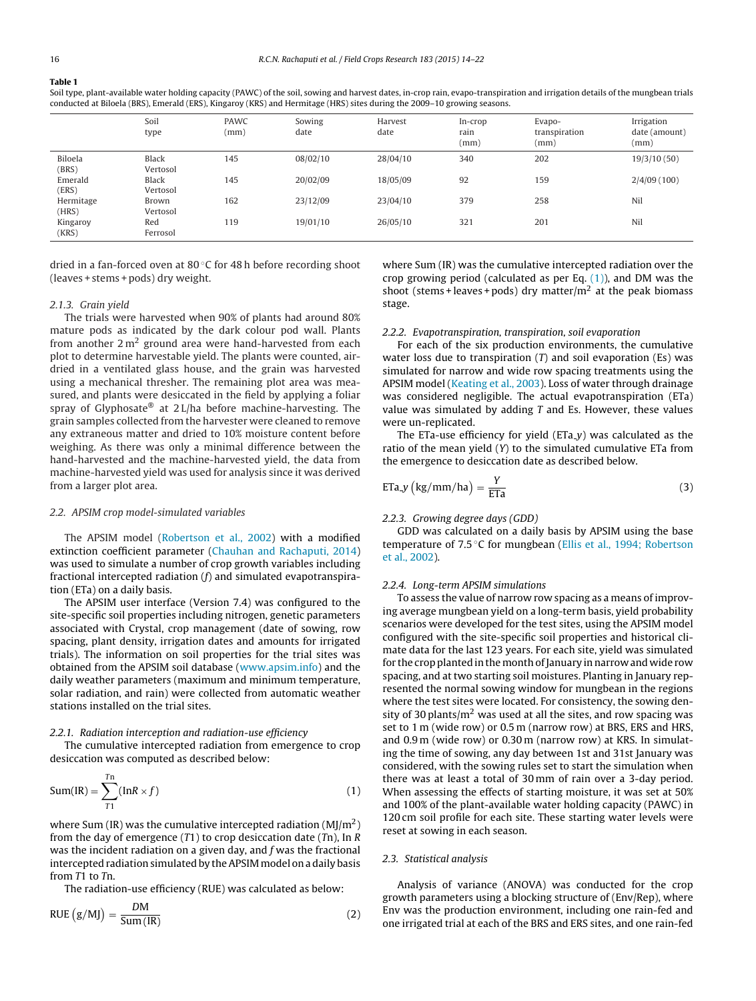## <span id="page-2-0"></span>**Table 1**

Soil type, plant-available water holding capacity (PAWC) of the soil, sowing and harvest dates, in-crop rain, evapo-transpiration and irrigation details of the mungbean trials conducted at Biloela (BRS), Emerald (ERS), Kingaroy (KRS) and Hermitage (HRS) sites during the 2009–10 growing seasons.

|                    | Soil<br>type             | <b>PAWC</b><br>(mm) | Sowing<br>date | Harvest<br>date | In-crop<br>rain<br>(mm) | Evapo-<br>transpiration<br>(mm) | Irrigation<br>date (amount)<br>(mm) |
|--------------------|--------------------------|---------------------|----------------|-----------------|-------------------------|---------------------------------|-------------------------------------|
| Biloela<br>(BRS)   | <b>Black</b><br>Vertosol | 145                 | 08/02/10       | 28/04/10        | 340                     | 202                             | 19/3/10(50)                         |
| Emerald<br>(ERS)   | <b>Black</b><br>Vertosol | 145                 | 20/02/09       | 18/05/09        | 92                      | 159                             | 2/4/09(100)                         |
| Hermitage<br>(HRS) | Brown<br>Vertosol        | 162                 | 23/12/09       | 23/04/10        | 379                     | 258                             | Nil                                 |
| Kingaroy<br>(KRS)  | Red<br>Ferrosol          | 119                 | 19/01/10       | 26/05/10        | 321                     | 201                             | Nil                                 |

dried in a fan-forced oven at 80 ◦C for 48 h before recording shoot (leaves + stems + pods) dry weight.

#### 2.1.3. Grain yield

The trials were harvested when 90% of plants had around 80% mature pods as indicated by the dark colour pod wall. Plants from another  $2 m<sup>2</sup>$  ground area were hand-harvested from each plot to determine harvestable yield. The plants were counted, airdried in a ventilated glass house, and the grain was harvested using a mechanical thresher. The remaining plot area was measured, and plants were desiccated in the field by applying a foliar spray of Glyphosate® at 2 L/ha before machine-harvesting. The grain samples collected from the harvester were cleaned to remove any extraneous matter and dried to 10% moisture content before weighing. As there was only a minimal difference between the hand-harvested and the machine-harvested yield, the data from machine-harvested yield was used for analysis since it was derived from a larger plot area.

#### 2.2. APSIM crop model-simulated variables

The APSIM model ([Robertson](#page-8-0) et [al.,](#page-8-0) [2002\)](#page-8-0) with a modified extinction coefficient parameter [\(Chauhan](#page-8-0) [and](#page-8-0) [Rachaputi,](#page-8-0) [2014\)](#page-8-0) was used to simulate a number of crop growth variables including fractional intercepted radiation  $(f)$  and simulated evapotranspiration (ETa) on a daily basis.

The APSIM user interface (Version 7.4) was configured to the site-specific soil properties including nitrogen, genetic parameters associated with Crystal, crop management (date of sowing, row spacing, plant density, irrigation dates and amounts for irrigated trials). The information on soil properties for the trial sites was obtained from the APSIM soil database ([www.apsim.info](http://www.apsim.info)) and the daily weather parameters (maximum and minimum temperature, solar radiation, and rain) were collected from automatic weather stations installed on the trial sites.

## 2.2.1. Radiation interception and radiation-use efficiency

The cumulative intercepted radiation from emergence to crop desiccation was computed as described below:

$$
Sum(IR) = \sum_{T1}^{Tn} (InR \times f)
$$
 (1)

where Sum (IR) was the cumulative intercepted radiation  $(MJ/m<sup>2</sup>)$ from the day of emergence  $(T1)$  to crop desiccation date  $(Tn)$ , In R was the incident radiation on a given day, and  $f$  was the fractional intercepted radiation simulated by the APSIM model on a daily basis from T1 to Tn.

The radiation-use efficiency (RUE) was calculated as below:

$$
RUE(g/MJ) = \frac{DM}{Sum(IR)}
$$
 (2)

where Sum (IR) was the cumulative intercepted radiation over the crop growing period (calculated as per Eq.  $(1)$ ), and DM was the shoot (stems + leaves + pods) dry matter/ $m<sup>2</sup>$  at the peak biomass stage.

### 2.2.2. Evapotranspiration, transpiration, soil evaporation

For each of the six production environments, the cumulative water loss due to transpiration  $(T)$  and soil evaporation (Es) was simulated for narrow and wide row spacing treatments using the APSIM model [\(Keating](#page-8-0) et [al.,](#page-8-0) [2003\).](#page-8-0) Loss of water through drainage was considered negligible. The actual evapotranspiration (ETa) value was simulated by adding  $T$  and Es. However, these values were un-replicated.

The ETa-use efficiency for yield (ETa\_y) was calculated as the ratio of the mean yield (Y) to the simulated cumulative ETa from the emergence to desiccation date as described below.

$$
ETa.y\left(kg/mm/ha\right) = \frac{Y}{ETA}
$$
 (3)

## 2.2.3. Growing degree days (GDD)

GDD was calculated on a daily basis by APSIM using the base temperature of 7.5 °C for mungbean ([Ellis](#page-8-0) et [al.,](#page-8-0) [1994;](#page-8-0) [Robertson](#page-8-0) et [al.,](#page-8-0) [2002\).](#page-8-0)

#### 2.2.4. Long-term APSIM simulations

To assess the value of narrow row spacing as a means of improving average mungbean yield on a long-term basis, yield probability scenarios were developed for the test sites, using the APSIM model configured with the site-specific soil properties and historical climate data for the last 123 years. For each site, yield was simulated for the crop planted in the month of January in narrow and wide row spacing, and at two starting soil moistures. Planting in January represented the normal sowing window for mungbean in the regions where the test sites were located. For consistency, the sowing density of 30 plants/ $m<sup>2</sup>$  was used at all the sites, and row spacing was set to 1 m (wide row) or 0.5 m (narrow row) at BRS, ERS and HRS, and 0.9 m (wide row) or 0.30 m (narrow row) at KRS. In simulating the time of sowing, any day between 1st and 31st January was considered, with the sowing rules set to start the simulation when there was at least a total of 30 mm of rain over a 3-day period. When assessing the effects of starting moisture, it was set at 50% and 100% of the plant-available water holding capacity (PAWC) in 120 cm soil profile for each site. These starting water levels were reset at sowing in each season.

## 2.3. Statistical analysis

Analysis of variance (ANOVA) was conducted for the crop growth parameters using a blocking structure of (Env/Rep), where Env was the production environment, including one rain-fed and one irrigated trial at each of the BRS and ERS sites, and one rain-fed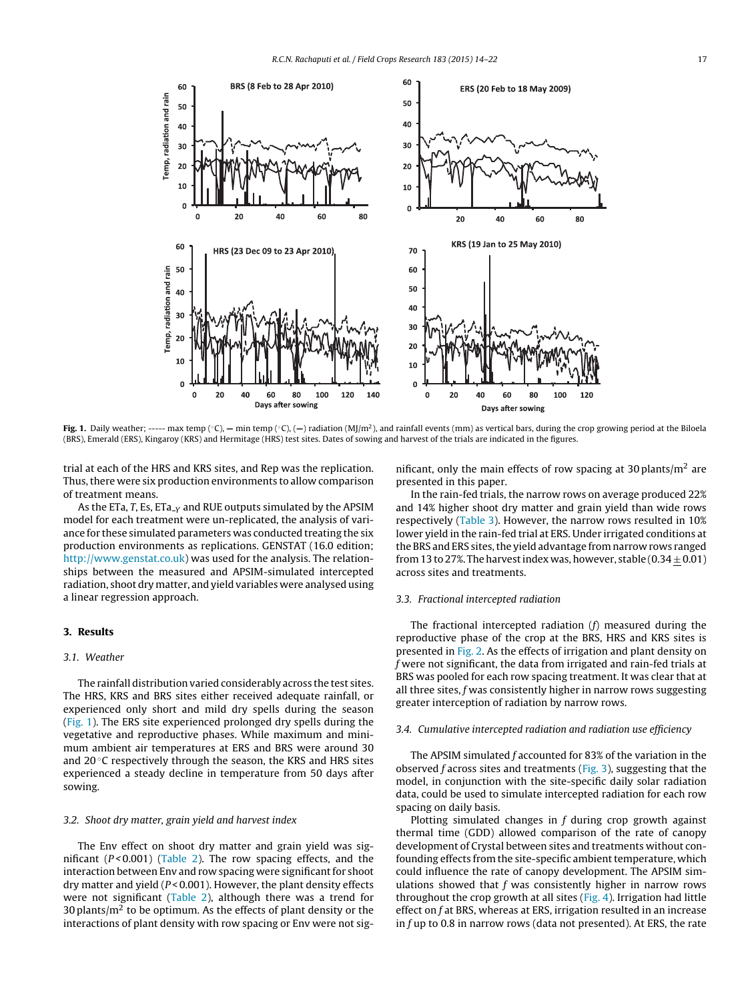

**Fig. 1.** Daily weather; ----- max temp (◦C), — min temp (◦C), (—) radiation (MJ/m<sup>2</sup>), and rainfall events (mm) as vertical bars, during the crop growing period at the Biloela (BRS), Emerald (ERS), Kingaroy (KRS) and Hermitage (HRS) test sites. Dates of sowing and harvest of the trials are indicated in the figures.

trial at each of the HRS and KRS sites, and Rep was the replication. Thus, there were six production environments to allow comparison of treatment means.

As the ETa, T, Es, ETa<sub>-Y</sub> and RUE outputs simulated by the APSIM model for each treatment were un-replicated, the analysis of variance for these simulated parameters was conducted treating the six production environments as replications. GENSTAT (16.0 edition; <http://www.genstat.co.uk>) was used for the analysis. The relationships between the measured and APSIM-simulated intercepted radiation, shoot dry matter, and yield variables were analysed using a linear regression approach.

## **3. Results**

## 3.1. Weather

The rainfall distribution varied considerably across the test sites. The HRS, KRS and BRS sites either received adequate rainfall, or experienced only short and mild dry spells during the season (Fig. 1). The ERS site experienced prolonged dry spells during the vegetative and reproductive phases. While maximum and minimum ambient air temperatures at ERS and BRS were around 30 and 20 ℃ respectively through the season, the KRS and HRS sites experienced a steady decline in temperature from 50 days after sowing.

#### 3.2. Shoot dry matter, grain yield and harvest index

The Env effect on shoot dry matter and grain yield was significant ( $P < 0.001$ ) [\(Table](#page-4-0) 2). The row spacing effects, and the interaction between Env and row spacing were significant for shoot dry matter and yield ( $P < 0.001$ ). However, the plant density effects were not significant ([Table](#page-4-0) 2), although there was a trend for 30 plants/ $m^2$  to be optimum. As the effects of plant density or the interactions of plant density with row spacing or Env were not significant, only the main effects of row spacing at 30 plants/ $m<sup>2</sup>$  are presented in this paper.

In the rain-fed trials, the narrow rows on average produced 22% and 14% higher shoot dry matter and grain yield than wide rows respectively ([Table](#page-4-0) 3). However, the narrow rows resulted in 10% lower yield in the rain-fed trial at ERS. Under irrigated conditions at the BRS and ERS sites, the yield advantage from narrow rows ranged from 13 to 27%. The harvest index was, however, stable (0.34  $\pm$  0.01) across sites and treatments.

## 3.3. Fractional intercepted radiation

The fractional intercepted radiation (f) measured during the reproductive phase of the crop at the BRS, HRS and KRS sites is presented in [Fig.](#page-4-0) 2. As the effects of irrigation and plant density on f were not significant, the data from irrigated and rain-fed trials at BRS was pooled for each row spacing treatment. It was clear that at all three sites, f was consistently higher in narrow rows suggesting greater interception of radiation by narrow rows.

## 3.4. Cumulative intercepted radiation and radiation use efficiency

The APSIM simulated f accounted for 83% of the variation in the observed  $f$  across sites and treatments [\(Fig.](#page-4-0) 3), suggesting that the model, in conjunction with the site-specific daily solar radiation data, could be used to simulate intercepted radiation for each row spacing on daily basis.

Plotting simulated changes in f during crop growth against thermal time (GDD) allowed comparison of the rate of canopy development of Crystal between sites and treatments without confounding effects from the site-specific ambient temperature, which could influence the rate of canopy development. The APSIM simulations showed that  $f$  was consistently higher in narrow rows throughout the crop growth at all sites [\(Fig.](#page-5-0) 4). Irrigation had little effect on  $f$  at BRS, whereas at ERS, irrigation resulted in an increase in f up to 0.8 in narrow rows (data not presented). At ERS, the rate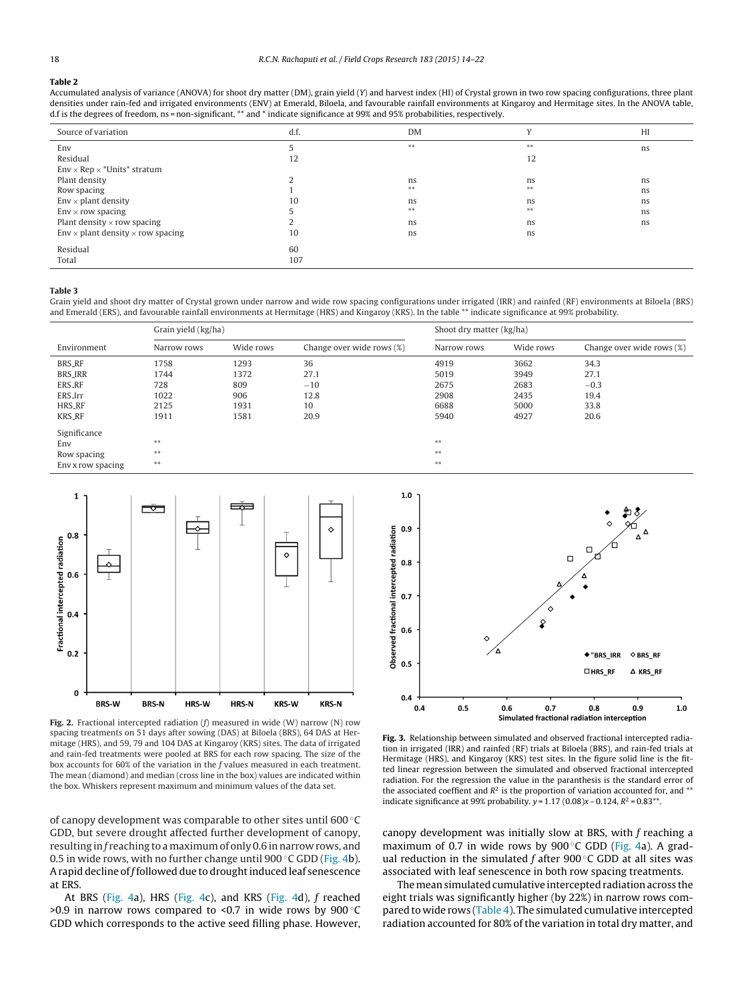#### <span id="page-4-0"></span>**Table 2**

Accumulated analysis of variance (ANOVA) for shoot dry matter (DM), grain yield (Y) and harvest index (HI) of Crystal grown in two row spacing configurations, three plant densities under rain-fed and irrigated environments (ENV) at Emerald, Biloela, and favourable rainfall environments at Kingaroy and Hermitage sites. In the ANOVA table, d.f is the degrees of freedom, ns = non-significant, \*\* and \* indicate significance at 99% and 95% probabilities, respectively.

| Source of variation                             | d.f. | <b>DM</b> | $\mathbf{v}$ | HI |
|-------------------------------------------------|------|-----------|--------------|----|
| Env                                             |      | $***$     | $***$        | ns |
| Residual                                        | 12   |           | 12           |    |
| $Env \times Rep \times * Units* stratum$        |      |           |              |    |
| Plant density                                   |      | ns        | ns           | ns |
| Row spacing                                     |      | $***$     | $* *$        | ns |
| $Env \times plant$ density                      | 10   | ns        | ns           | ns |
| $Env \times row spacing$                        |      | $***$     | $* *$        | ns |
| Plant density $\times$ row spacing              |      | ns        | ns           | ns |
| $Env \times plant$ density $\times$ row spacing | 10   | ns        | ns           |    |
| Residual                                        | 60   |           |              |    |
| Total                                           | 107  |           |              |    |

#### **Table 3**

Grain yield and shoot dry matter of Crystal grown under narrow and wide row spacing configurations under irrigated (IRR) and rainfed (RF) environments at Biloela (BRS) and Emerald (ERS), and favourable rainfall environments at Hermitage (HRS) and Kingaroy (KRS). In the table \*\* indicate significance at 99% probability.

|                   | Grain yield (kg/ha) |           |                           | Shoot dry matter (kg/ha) |           |                           |
|-------------------|---------------------|-----------|---------------------------|--------------------------|-----------|---------------------------|
| Environment       | Narrow rows         | Wide rows | Change over wide rows (%) | Narrow rows              | Wide rows | Change over wide rows (%) |
| <b>BRS_RF</b>     | 1758                | 1293      | 36                        | 4919                     | 3662      | 34.3                      |
| <b>BRS_IRR</b>    | 1744                | 1372      | 27.1                      | 5019                     | 3949      | 27.1                      |
| ERS_RF            | 728                 | 809       | $-10$                     | 2675                     | 2683      | $-0.3$                    |
| ERS_Irr           | 1022                | 906       | 12.8                      | 2908                     | 2435      | 19.4                      |
| <b>HRS_RF</b>     | 2125                | 1931      | 10                        | 6688                     | 5000      | 33.8                      |
| <b>KRS_RF</b>     | 1911                | 1581      | 20.9                      | 5940                     | 4927      | 20.6                      |
| Significance      |                     |           |                           |                          |           |                           |
| Env               | $***$               |           |                           | $* *$                    |           |                           |
| Row spacing       | $**$                |           |                           | $* *$                    |           |                           |
| Env x row spacing | $**$                |           |                           | $* *$                    |           |                           |



**Fig. 2.** Fractional intercepted radiation (f) measured in wide (W) narrow (N) row spacing treatments on 51 days after sowing (DAS) at Biloela (BRS), 64 DAS at Hermitage (HRS), and 59, 79 and 104 DAS at Kingaroy (KRS) sites. The data of irrigated and rain-fed treatments were pooled at BRS for each row spacing. The size of the box accounts for 60% of the variation in the f values measured in each treatment. The mean (diamond) and median (cross line in the box) values are indicated within the box. Whiskers represent maximum and minimum values of the data set.

of canopy development was comparable to other sites until 600 ◦C GDD, but severe drought affected further development of canopy, resulting in f reaching to a maximum of only 0.6 in narrow rows, and 0.5 in wide rows, with no further change until  $900\textdegree$ C GDD [\(Fig.](#page-5-0) 4b). A rapid decline of f followed due to drought induced leaf senescence at ERS.

At BRS ([Fig.](#page-5-0) 4a), HRS ([Fig.](#page-5-0) 4c), and KRS ([Fig.](#page-5-0) 4d), f reached  $>0.9$  in narrow rows compared to <0.7 in wide rows by 900 $\degree$ C GDD which corresponds to the active seed filling phase. However,



**Fig. 3.** Relationship between simulated and observed fractional intercepted radiation in irrigated (IRR) and rainfed (RF) trials at Biloela (BRS), and rain-fed trials at Hermitage (HRS), and Kingaroy (KRS) test sites. In the figure solid line is the fitted linear regression between the simulated and observed fractional intercepted radiation. For the regression the value in the paranthesis is the standard error of the associated coeffient and  $R^2$  is the proportion of variation accounted for, and  $**$ indicate significance at 99% probability.  $y = 1.17 (0.08)x - 0.124$ ,  $R^2 = 0.83**$ .

canopy development was initially slow at BRS, with f reaching a maximum of 0.7 in wide rows by  $900\degree$ C GDD ([Fig.](#page-5-0) 4a). A gradual reduction in the simulated  $f$  after 900 $\degree$ C GDD at all sites was associated with leaf senescence in both row spacing treatments.

The mean simulated cumulative intercepted radiation across the eight trials was significantly higher (by 22%) in narrow rows com-pared to wide rows [\(Table](#page-5-0) 4). The simulated cumulative intercepted radiation accounted for 80% of the variation in total dry matter, and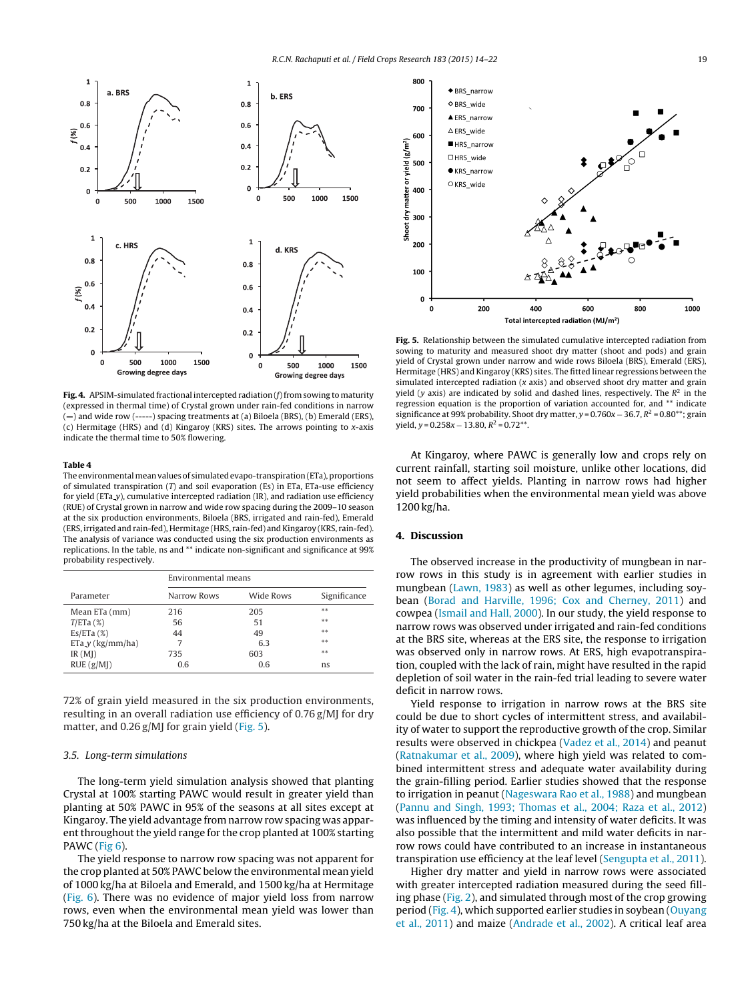<span id="page-5-0"></span>

Fig. 4. APSIM-simulated fractional intercepted radiation (f) from sowing to maturity (expressed in thermal time) of Crystal grown under rain-fed conditions in narrow (**—**) and wide row (-----) spacing treatments at (a) Biloela (BRS), (b) Emerald (ERS), (c) Hermitage (HRS) and (d) Kingaroy (KRS) sites. The arrows pointing to x-axis indicate the thermal time to 50% flowering.

#### **Table 4**

The environmental mean values of simulated evapo-transpiration (ETa), proportions of simulated transpiration  $(T)$  and soil evaporation (Es) in ETa, ETa-use efficiency for yield (ETa<sub>-</sub>y), cumulative intercepted radiation (IR), and radiation use efficiency (RUE) of Crystal grown in narrow and wide row spacing during the 2009–10 season at the six production environments, Biloela (BRS, irrigated and rain-fed), Emerald (ERS, irrigated and rain-fed), Hermitage (HRS, rain-fed) and Kingaroy (KRS, rain-fed). The analysis of variance was conducted using the six production environments as replications. In the table, ns and \*\* indicate non-significant and significance at 99% probability respectively.

|                    | Environmental means |           |              |  |  |
|--------------------|---------------------|-----------|--------------|--|--|
| Parameter          | Narrow Rows         | Wide Rows | Significance |  |  |
| Mean ETa (mm)      | 216                 | 205       | **           |  |  |
| $T/ETa$ (%)        | 56                  | 51        | $* *$        |  |  |
| Es/ETA(%)          | 44                  | 49        | **           |  |  |
| $ETa_y (kg/mm/ha)$ | 7                   | 6.3       | **           |  |  |
| IR(MI)             | 735                 | 603       | **           |  |  |
| RUE(g/MI)          | 0.6                 | 0.6       | ns           |  |  |

72% of grain yield measured in the six production environments, resulting in an overall radiation use efficiency of 0.76 g/MJ for dry matter, and 0.26 g/MJ for grain yield (Fig. 5).

## 3.5. Long-term simulations

The long-term yield simulation analysis showed that planting Crystal at 100% starting PAWC would result in greater yield than planting at 50% PAWC in 95% of the seasons at all sites except at Kingaroy. The yield advantage from narrow row spacing was apparent throughout the yield range for the crop planted at 100% starting PAWC ([Fig](#page-6-0) 6).

The yield response to narrow row spacing was not apparent for the crop planted at 50% PAWC below the environmental mean yield of 1000 kg/ha at Biloela and Emerald, and 1500 kg/ha at Hermitage ([Fig.](#page-6-0) 6). There was no evidence of major yield loss from narrow rows, even when the environmental mean yield was lower than 750 kg/ha at the Biloela and Emerald sites.



**Fig. 5.** Relationship between the simulated cumulative intercepted radiation from sowing to maturity and measured shoot dry matter (shoot and pods) and grain yield of Crystal grown under narrow and wide rows Biloela (BRS), Emerald (ERS), Hermitage (HRS) and Kingaroy (KRS) sites. The fitted linear regressions between the simulated intercepted radiation (x axis) and observed shoot dry matter and grain yield (y axis) are indicated by solid and dashed lines, respectively. The  $R^2$  in the regression equation is the proportion of variation accounted for, and \*\* indicate significance at 99% probability. Shoot dry matter,  $y = 0.760x - 36.7$ ,  $R^2 = 0.80^{**}$ ; grain vield,  $v = 0.258x - 13.80$ ,  $R^2 = 0.72^{**}$ .

At Kingaroy, where PAWC is generally low and crops rely on current rainfall, starting soil moisture, unlike other locations, did not seem to affect yields. Planting in narrow rows had higher yield probabilities when the environmental mean yield was above 1200 kg/ha.

## **4. Discussion**

The observed increase in the productivity of mungbean in narrow rows in this study is in agreement with earlier studies in mungbean ([Lawn,](#page-8-0) [1983\)](#page-8-0) as well as other legumes, including soybean [\(Borad](#page-8-0) [and](#page-8-0) [Harville,](#page-8-0) [1996;](#page-8-0) [Cox](#page-8-0) [and](#page-8-0) [Cherney,](#page-8-0) [2011\)](#page-8-0) and cowpea ([Ismail](#page-8-0) [and](#page-8-0) [Hall,](#page-8-0) [2000\).](#page-8-0) In our study, the yield response to narrow rows was observed under irrigated and rain-fed conditions at the BRS site, whereas at the ERS site, the response to irrigation was observed only in narrow rows. At ERS, high evapotranspiration, coupled with the lack of rain, might have resulted in the rapid depletion of soil water in the rain-fed trial leading to severe water deficit in narrow rows.

Yield response to irrigation in narrow rows at the BRS site could be due to short cycles of intermittent stress, and availability of water to support the reproductive growth of the crop. Similar results were observed in chickpea ([Vadez](#page-8-0) et [al.,](#page-8-0) [2014\)](#page-8-0) and peanut [\(Ratnakumar](#page-8-0) et [al.,](#page-8-0) [2009\),](#page-8-0) where high yield was related to combined intermittent stress and adequate water availability during the grain-filling period. Earlier studies showed that the response to irrigation in peanut ([Nageswara](#page-8-0) [Rao](#page-8-0) et [al.,](#page-8-0) [1988\)](#page-8-0) and mungbean [\(Pannu](#page-8-0) [and](#page-8-0) [Singh,](#page-8-0) [1993;](#page-8-0) [Thomas](#page-8-0) et [al.,](#page-8-0) [2004;](#page-8-0) [Raza](#page-8-0) et [al.,](#page-8-0) [2012\)](#page-8-0) was influenced by the timing and intensity of water deficits. It was also possible that the intermittent and mild water deficits in narrow rows could have contributed to an increase in instantaneous transpiration use efficiency at the leaf level [\(Sengupta](#page-8-0) et [al.,](#page-8-0) [2011\).](#page-8-0)

Higher dry matter and yield in narrow rows were associated with greater intercepted radiation measured during the seed filling phase [\(Fig.](#page-4-0) 2), and simulated through most of the crop growing period (Fig. 4), which supported earlier studies in soybean [\(Ouyang](#page-8-0) et [al.,](#page-8-0) [2011\)](#page-8-0) and maize [\(Andrade](#page-7-0) et [al.,](#page-7-0) [2002\).](#page-7-0) A critical leaf area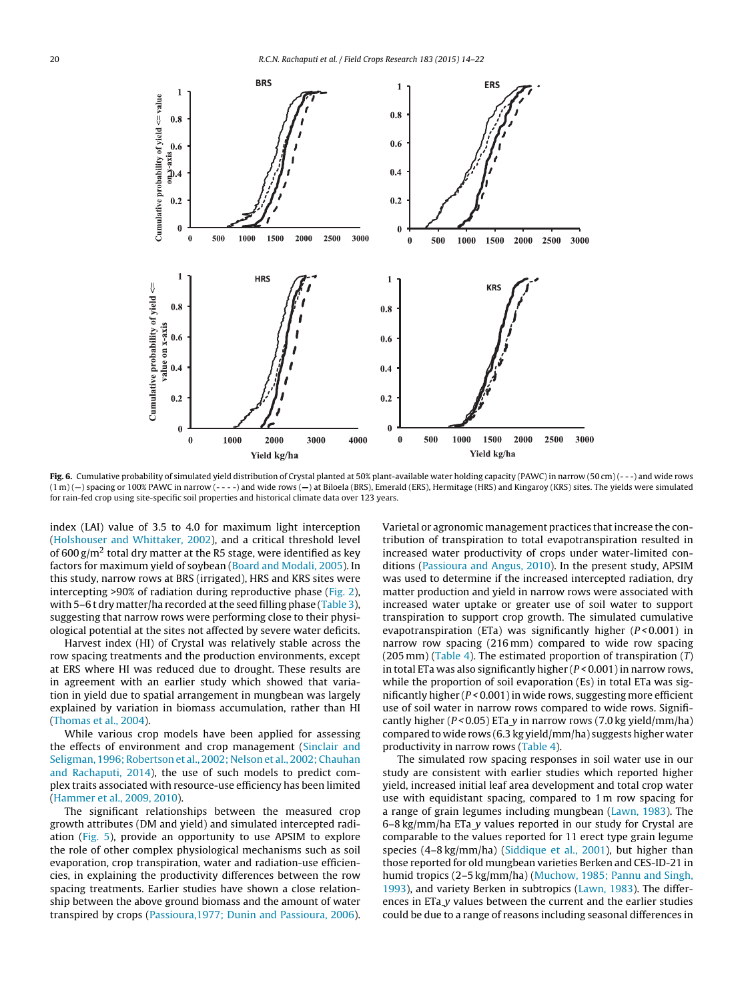<span id="page-6-0"></span>

Fig. 6. Cumulative probability of simulated yield distribution of Crystal planted at 50% plant-available water holding capacity (PAWC) in narrow (50 cm) (---) and wide rows (1 m) (—) spacing or 100% PAWC in narrow (- - - -) and wide rows (**—**) at Biloela (BRS), Emerald (ERS), Hermitage (HRS) and Kingaroy (KRS) sites. The yields were simulated for rain-fed crop using site-specific soil properties and historical climate data over 123 years.

index (LAI) value of 3.5 to 4.0 for maximum light interception ([Holshouser](#page-8-0) [and](#page-8-0) [Whittaker,](#page-8-0) [2002\),](#page-8-0) and a critical threshold level of 600 g/m<sup>2</sup> total dry matter at the R5 stage, were identified as key factors for maximum yield of soybean [\(Board](#page-8-0) [and](#page-8-0) [Modali,](#page-8-0) [2005\).](#page-8-0) In this study, narrow rows at BRS (irrigated), HRS and KRS sites were intercepting >90% of radiation during reproductive phase ([Fig.](#page-4-0) 2), with 5–6 t dry matter/ha recorded at the seed filling phase ([Table](#page-4-0) 3), suggesting that narrow rows were performing close to their physiological potential at the sites not affected by severe water deficits.

Harvest index (HI) of Crystal was relatively stable across the row spacing treatments and the production environments, except at ERS where HI was reduced due to drought. These results are in agreement with an earlier study which showed that variation in yield due to spatial arrangement in mungbean was largely explained by variation in biomass accumulation, rather than HI ([Thomas](#page-8-0) et [al.,](#page-8-0) [2004\).](#page-8-0)

While various crop models have been applied for assessing the effects of environment and crop management [\(Sinclair](#page-8-0) [and](#page-8-0) [Seligman,](#page-8-0) [1996;](#page-8-0) [Robertson](#page-8-0) et [al.,](#page-8-0) [2002;](#page-8-0) [Nelson](#page-8-0) et [al.,](#page-8-0) [2002;](#page-8-0) [Chauhan](#page-8-0) [and](#page-8-0) [Rachaputi,](#page-8-0) [2014\),](#page-8-0) the use of such models to predict complex traits associated with resource-use efficiency has been limited ([Hammer](#page-8-0) et [al.,](#page-8-0) [2009,](#page-8-0) [2010\).](#page-8-0)

The significant relationships between the measured crop growth attributes (DM and yield) and simulated intercepted radiation [\(Fig.](#page-5-0) 5), provide an opportunity to use APSIM to explore the role of other complex physiological mechanisms such as soil evaporation, crop transpiration, water and radiation-use efficiencies, in explaining the productivity differences between the row spacing treatments. Earlier studies have shown a close relationship between the above ground biomass and the amount of water transpired by crops ([Passioura,1977;](#page-8-0) [Dunin](#page-8-0) [and](#page-8-0) [Passioura,](#page-8-0) [2006\).](#page-8-0)

Varietal or agronomic management practices that increase the contribution of transpiration to total evapotranspiration resulted in increased water productivity of crops under water-limited conditions ([Passioura](#page-8-0) [and](#page-8-0) [Angus,](#page-8-0) [2010\).](#page-8-0) In the present study, APSIM was used to determine if the increased intercepted radiation, dry matter production and yield in narrow rows were associated with increased water uptake or greater use of soil water to support transpiration to support crop growth. The simulated cumulative evapotranspiration (ETa) was significantly higher  $(P < 0.001)$  in narrow row spacing (216 mm) compared to wide row spacing (205 mm) [\(Table](#page-5-0) 4). The estimated proportion of transpiration  $(T)$ in total ETa was also significantly higher  $(P < 0.001)$  in narrow rows, while the proportion of soil evaporation (Es) in total ETa was significantly higher  $(P < 0.001)$  in wide rows, suggesting more efficient use of soil water in narrow rows compared to wide rows. Significantly higher ( $P < 0.05$ ) ETa y in narrow rows (7.0 kg yield/mm/ha) compared to wide rows (6.3 kg yield/mm/ha) suggests higher water productivity in narrow rows [\(Table](#page-5-0) 4).

The simulated row spacing responses in soil water use in our study are consistent with earlier studies which reported higher yield, increased initial leaf area development and total crop water use with equidistant spacing, compared to 1 m row spacing for a range of grain legumes including mungbean [\(Lawn,](#page-8-0) [1983\).](#page-8-0) The 6–8 kg/mm/ha ETa y values reported in our study for Crystal are comparable to the values reported for 11 erect type grain legume species (4–8 kg/mm/ha) ([Siddique](#page-8-0) et [al.,](#page-8-0) [2001\),](#page-8-0) but higher than those reported for old mungbean varieties Berken and CES-ID-21 in humid tropics (2–5 kg/mm/ha) [\(Muchow,](#page-8-0) [1985;](#page-8-0) [Pannu](#page-8-0) [and](#page-8-0) [Singh,](#page-8-0) [1993\),](#page-8-0) and variety Berken in subtropics ([Lawn,](#page-8-0) [1983\).](#page-8-0) The differences in ETa\_y values between the current and the earlier studies could be due to a range of reasons including seasonal differences in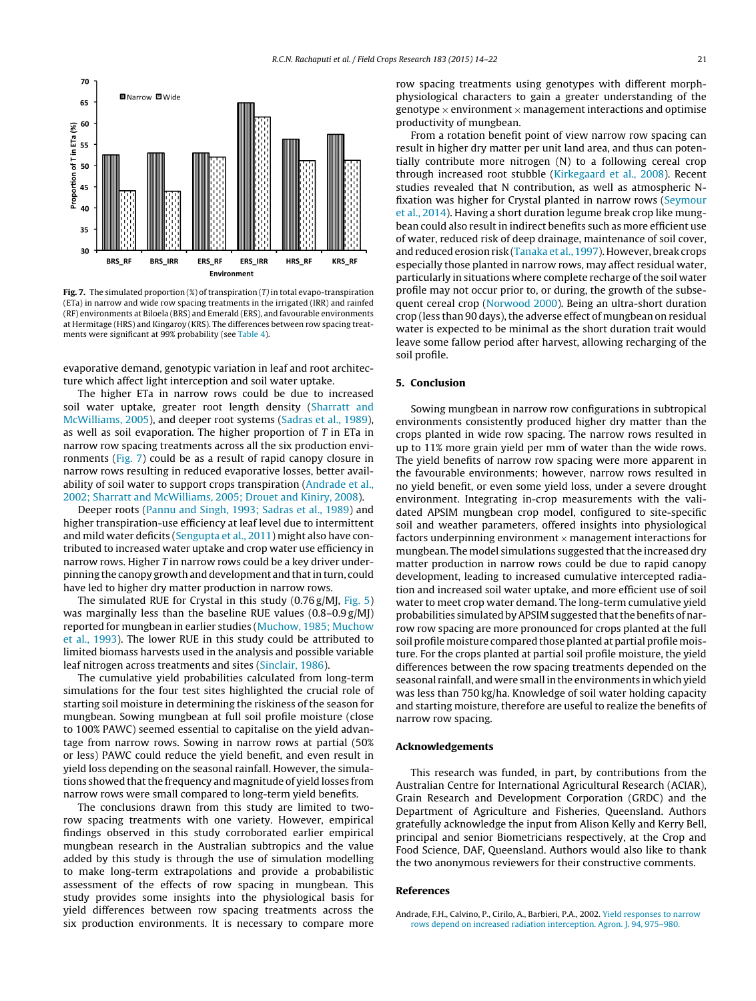<span id="page-7-0"></span>

**Fig. 7.** The simulated proportion  $(\%)$  of transpiration  $(T)$  in total evapo-transpiration (ETa) in narrow and wide row spacing treatments in the irrigated (IRR) and rainfed (RF) environments at Biloela (BRS) and Emerald (ERS), and favourable environments at Hermitage (HRS) and Kingaroy (KRS). The differences between row spacing treatments were significant at 99% probability (see [Table](#page-5-0) 4).

evaporative demand, genotypic variation in leaf and root architecture which affect light interception and soil water uptake.

The higher ETa in narrow rows could be due to increased soil water uptake, greater root length density ([Sharratt](#page-8-0) [and](#page-8-0) [McWilliams,](#page-8-0) [2005\),](#page-8-0) and deeper root systems ([Sadras](#page-8-0) et [al.,](#page-8-0) [1989\),](#page-8-0) as well as soil evaporation. The higher proportion of  $T$  in ETa in narrow row spacing treatments across all the six production environments (Fig. 7) could be as a result of rapid canopy closure in narrow rows resulting in reduced evaporative losses, better availability of soil water to support crops transpiration (Andrade et al., 2002; Sharratt and McWilliams, 2005; Drouet and Kiniry, 2008).

Deeper roots ([Pannu](#page-8-0) [and](#page-8-0) [Singh,](#page-8-0) [1993;](#page-8-0) [Sadras](#page-8-0) et [al.,](#page-8-0) [1989\)](#page-8-0) and higher transpiration-use efficiency at leaf level due to intermittent and mild water deficits ([Sengupta](#page-8-0) et [al.,](#page-8-0) [2011\)](#page-8-0) might also have contributed to increased water uptake and crop water use efficiency in narrow rows. Higher T in narrow rows could be a key driver underpinning the canopy growth and development and thatin turn, could have led to higher dry matter production in narrow rows.

The simulated RUE for Crystal in this study (0.76 g/MJ, [Fig.](#page-5-0) 5) was marginally less than the baseline RUE values (0.8–0.9 g/MJ) reported for mungbean in earlier studies ([Muchow,](#page-8-0) [1985;](#page-8-0) [Muchow](#page-8-0) et [al.,](#page-8-0) [1993\).](#page-8-0) The lower RUE in this study could be attributed to limited biomass harvests used in the analysis and possible variable leaf nitrogen across treatments and sites [\(Sinclair,](#page-8-0) [1986\).](#page-8-0)

The cumulative yield probabilities calculated from long-term simulations for the four test sites highlighted the crucial role of starting soil moisture in determining the riskiness of the season for mungbean. Sowing mungbean at full soil profile moisture (close to 100% PAWC) seemed essential to capitalise on the yield advantage from narrow rows. Sowing in narrow rows at partial (50% or less) PAWC could reduce the yield benefit, and even result in yield loss depending on the seasonal rainfall. However, the simulations showed that the frequency and magnitude of yield losses from narrow rows were small compared to long-term yield benefits.

The conclusions drawn from this study are limited to tworow spacing treatments with one variety. However, empirical findings observed in this study corroborated earlier empirical mungbean research in the Australian subtropics and the value added by this study is through the use of simulation modelling to make long-term extrapolations and provide a probabilistic assessment of the effects of row spacing in mungbean. This study provides some insights into the physiological basis for yield differences between row spacing treatments across the six production environments. It is necessary to compare more row spacing treatments using genotypes with different morphphysiological characters to gain a greater understanding of the genotype  $\times$  environment  $\times$  management interactions and optimise productivity of mungbean.

From a rotation benefit point of view narrow row spacing can result in higher dry matter per unit land area, and thus can potentially contribute more nitrogen (N) to a following cereal crop through increased root stubble [\(Kirkegaard](#page-8-0) et [al.,](#page-8-0) [2008\).](#page-8-0) Recent studies revealed that N contribution, as well as atmospheric Nfixation was higher for Crystal planted in narrow rows ([Seymour](#page-8-0) et [al.,](#page-8-0) [2014\).](#page-8-0) Having a short duration legume break crop like mungbean could also result in indirect benefits such as more efficient use of water, reduced risk of deep drainage, maintenance of soil cover, and reduced erosion risk [\(Tanaka](#page-8-0) et [al.,](#page-8-0) [1997\).](#page-8-0) However, break crops especially those planted in narrow rows, may affect residual water, particularly in situations where complete recharge of the soil water profile may not occur prior to, or during, the growth of the subsequent cereal crop [\(Norwood](#page-8-0) [2000\).](#page-8-0) Being an ultra-short duration crop (less than 90 days), the adverse effect of mungbean on residual water is expected to be minimal as the short duration trait would leave some fallow period after harvest, allowing recharging of the soil profile.

## **5. Conclusion**

Sowing mungbean in narrow row configurations in subtropical environments consistently produced higher dry matter than the crops planted in wide row spacing. The narrow rows resulted in up to 11% more grain yield per mm of water than the wide rows. The yield benefits of narrow row spacing were more apparent in the favourable environments; however, narrow rows resulted in no yield benefit, or even some yield loss, under a severe drought environment. Integrating in-crop measurements with the validated APSIM mungbean crop model, configured to site-specific soil and weather parameters, offered insights into physiological factors underpinning environment  $\times$  management interactions for mungbean. The model simulations suggested that the increased dry matter production in narrow rows could be due to rapid canopy development, leading to increased cumulative intercepted radiation and increased soil water uptake, and more efficient use of soil water to meet crop water demand. The long-term cumulative yield probabilities simulated by APSIM suggested that the benefits of narrow row spacing are more pronounced for crops planted at the full soil profile moisture compared those planted at partial profile moisture. For the crops planted at partial soil profile moisture, the yield differences between the row spacing treatments depended on the seasonal rainfall, and were small in the environments in which yield was less than 750 kg/ha. Knowledge of soil water holding capacity and starting moisture, therefore are useful to realize the benefits of narrow row spacing.

## **Acknowledgements**

This research was funded, in part, by contributions from the Australian Centre for International Agricultural Research (ACIAR), Grain Research and Development Corporation (GRDC) and the Department of Agriculture and Fisheries, Queensland. Authors gratefully acknowledge the input from Alison Kelly and Kerry Bell, principal and senior Biometricians respectively, at the Crop and Food Science, DAF, Queensland. Authors would also like to thank the two anonymous reviewers for their constructive comments.

#### **References**

Andrade, F.H., Calvino, P., Cirilo, A., Barbieri, P.A., 2002. [Yield](http://refhub.elsevier.com/S0378-4290(15)30016-2/sbref0005) [responses](http://refhub.elsevier.com/S0378-4290(15)30016-2/sbref0005) [to](http://refhub.elsevier.com/S0378-4290(15)30016-2/sbref0005) [narrow](http://refhub.elsevier.com/S0378-4290(15)30016-2/sbref0005) [rows](http://refhub.elsevier.com/S0378-4290(15)30016-2/sbref0005) [depend](http://refhub.elsevier.com/S0378-4290(15)30016-2/sbref0005) [on](http://refhub.elsevier.com/S0378-4290(15)30016-2/sbref0005) [increased](http://refhub.elsevier.com/S0378-4290(15)30016-2/sbref0005) [radiation](http://refhub.elsevier.com/S0378-4290(15)30016-2/sbref0005) [interception.](http://refhub.elsevier.com/S0378-4290(15)30016-2/sbref0005) [Agron.](http://refhub.elsevier.com/S0378-4290(15)30016-2/sbref0005) [J.](http://refhub.elsevier.com/S0378-4290(15)30016-2/sbref0005) [94,](http://refhub.elsevier.com/S0378-4290(15)30016-2/sbref0005) [975–980.](http://refhub.elsevier.com/S0378-4290(15)30016-2/sbref0005)